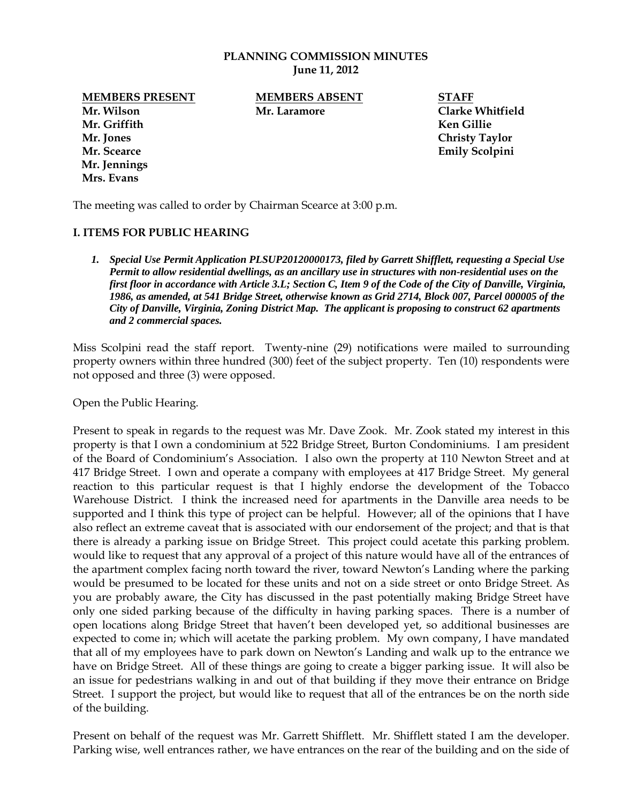#### **PLANNING COMMISSION MINUTES June 11, 2012**

**Mr. Wilson Mr. Laramore Clarke Whitfield Mr. Griffith Ken Gillie Mr. Jones Christy Taylor Mr. Scearce Emily Scolpini Mr. Jennings Mrs. Evans**

**MEMBERS PRESENT MEMBERS ABSENT STAFF**

The meeting was called to order by Chairman Scearce at 3:00 p.m.

#### **I. ITEMS FOR PUBLIC HEARING**

*1. Special Use Permit Application PLSUP20120000173, filed by Garrett Shifflett, requesting a Special Use Permit to allow residential dwellings, as an ancillary use in structures with non-residential uses on the first floor in accordance with Article 3.L; Section C, Item 9 of the Code of the City of Danville, Virginia, 1986, as amended, at 541 Bridge Street, otherwise known as Grid 2714, Block 007, Parcel 000005 of the City of Danville, Virginia, Zoning District Map. The applicant is proposing to construct 62 apartments and 2 commercial spaces.* 

Miss Scolpini read the staff report. Twenty-nine (29) notifications were mailed to surrounding property owners within three hundred (300) feet of the subject property. Ten (10) respondents were not opposed and three (3) were opposed.

Open the Public Hearing.

Present to speak in regards to the request was Mr. Dave Zook. Mr. Zook stated my interest in this property is that I own a condominium at 522 Bridge Street, Burton Condominiums. I am president of the Board of Condominium's Association. I also own the property at 110 Newton Street and at 417 Bridge Street. I own and operate a company with employees at 417 Bridge Street. My general reaction to this particular request is that I highly endorse the development of the Tobacco Warehouse District. I think the increased need for apartments in the Danville area needs to be supported and I think this type of project can be helpful. However; all of the opinions that I have also reflect an extreme caveat that is associated with our endorsement of the project; and that is that there is already a parking issue on Bridge Street. This project could acetate this parking problem. would like to request that any approval of a project of this nature would have all of the entrances of the apartment complex facing north toward the river, toward Newton's Landing where the parking would be presumed to be located for these units and not on a side street or onto Bridge Street. As you are probably aware, the City has discussed in the past potentially making Bridge Street have only one sided parking because of the difficulty in having parking spaces. There is a number of open locations along Bridge Street that haven't been developed yet, so additional businesses are expected to come in; which will acetate the parking problem. My own company, I have mandated that all of my employees have to park down on Newton's Landing and walk up to the entrance we have on Bridge Street. All of these things are going to create a bigger parking issue. It will also be an issue for pedestrians walking in and out of that building if they move their entrance on Bridge Street. I support the project, but would like to request that all of the entrances be on the north side of the building.

Present on behalf of the request was Mr. Garrett Shifflett. Mr. Shifflett stated I am the developer. Parking wise, well entrances rather, we have entrances on the rear of the building and on the side of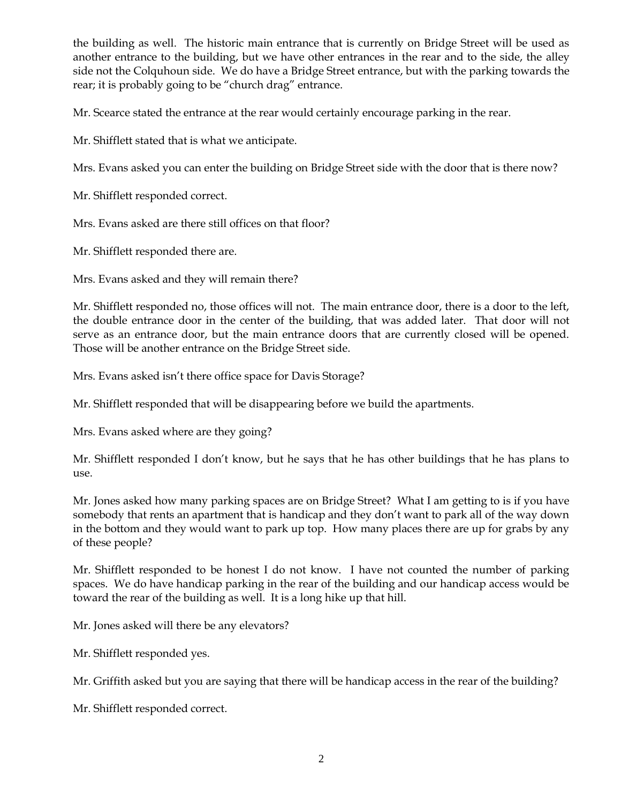the building as well. The historic main entrance that is currently on Bridge Street will be used as another entrance to the building, but we have other entrances in the rear and to the side, the alley side not the Colquhoun side. We do have a Bridge Street entrance, but with the parking towards the rear; it is probably going to be "church drag" entrance.

Mr. Scearce stated the entrance at the rear would certainly encourage parking in the rear.

Mr. Shifflett stated that is what we anticipate.

Mrs. Evans asked you can enter the building on Bridge Street side with the door that is there now?

Mr. Shifflett responded correct.

Mrs. Evans asked are there still offices on that floor?

Mr. Shifflett responded there are.

Mrs. Evans asked and they will remain there?

Mr. Shifflett responded no, those offices will not. The main entrance door, there is a door to the left, the double entrance door in the center of the building, that was added later. That door will not serve as an entrance door, but the main entrance doors that are currently closed will be opened. Those will be another entrance on the Bridge Street side.

Mrs. Evans asked isn't there office space for Davis Storage?

Mr. Shifflett responded that will be disappearing before we build the apartments.

Mrs. Evans asked where are they going?

Mr. Shifflett responded I don't know, but he says that he has other buildings that he has plans to use.

Mr. Jones asked how many parking spaces are on Bridge Street? What I am getting to is if you have somebody that rents an apartment that is handicap and they don't want to park all of the way down in the bottom and they would want to park up top. How many places there are up for grabs by any of these people?

Mr. Shifflett responded to be honest I do not know. I have not counted the number of parking spaces. We do have handicap parking in the rear of the building and our handicap access would be toward the rear of the building as well. It is a long hike up that hill.

Mr. Jones asked will there be any elevators?

Mr. Shifflett responded yes.

Mr. Griffith asked but you are saying that there will be handicap access in the rear of the building?

Mr. Shifflett responded correct.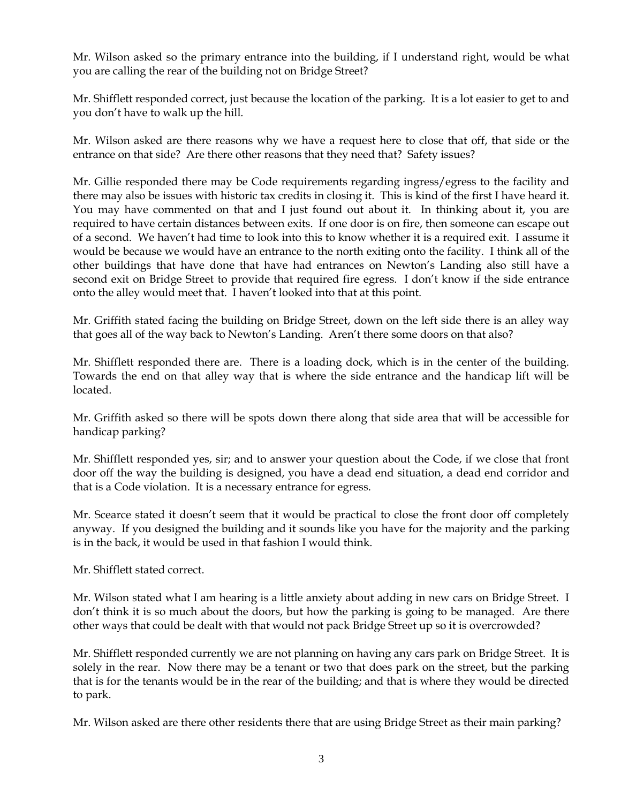Mr. Wilson asked so the primary entrance into the building, if I understand right, would be what you are calling the rear of the building not on Bridge Street?

Mr. Shifflett responded correct, just because the location of the parking. It is a lot easier to get to and you don't have to walk up the hill.

Mr. Wilson asked are there reasons why we have a request here to close that off, that side or the entrance on that side? Are there other reasons that they need that? Safety issues?

Mr. Gillie responded there may be Code requirements regarding ingress/egress to the facility and there may also be issues with historic tax credits in closing it. This is kind of the first I have heard it. You may have commented on that and I just found out about it. In thinking about it, you are required to have certain distances between exits. If one door is on fire, then someone can escape out of a second. We haven't had time to look into this to know whether it is a required exit. I assume it would be because we would have an entrance to the north exiting onto the facility. I think all of the other buildings that have done that have had entrances on Newton's Landing also still have a second exit on Bridge Street to provide that required fire egress. I don't know if the side entrance onto the alley would meet that. I haven't looked into that at this point.

Mr. Griffith stated facing the building on Bridge Street, down on the left side there is an alley way that goes all of the way back to Newton's Landing. Aren't there some doors on that also?

Mr. Shifflett responded there are. There is a loading dock, which is in the center of the building. Towards the end on that alley way that is where the side entrance and the handicap lift will be located.

Mr. Griffith asked so there will be spots down there along that side area that will be accessible for handicap parking?

Mr. Shifflett responded yes, sir; and to answer your question about the Code, if we close that front door off the way the building is designed, you have a dead end situation, a dead end corridor and that is a Code violation. It is a necessary entrance for egress.

Mr. Scearce stated it doesn't seem that it would be practical to close the front door off completely anyway. If you designed the building and it sounds like you have for the majority and the parking is in the back, it would be used in that fashion I would think.

Mr. Shifflett stated correct.

Mr. Wilson stated what I am hearing is a little anxiety about adding in new cars on Bridge Street. I don't think it is so much about the doors, but how the parking is going to be managed. Are there other ways that could be dealt with that would not pack Bridge Street up so it is overcrowded?

Mr. Shifflett responded currently we are not planning on having any cars park on Bridge Street. It is solely in the rear. Now there may be a tenant or two that does park on the street, but the parking that is for the tenants would be in the rear of the building; and that is where they would be directed to park.

Mr. Wilson asked are there other residents there that are using Bridge Street as their main parking?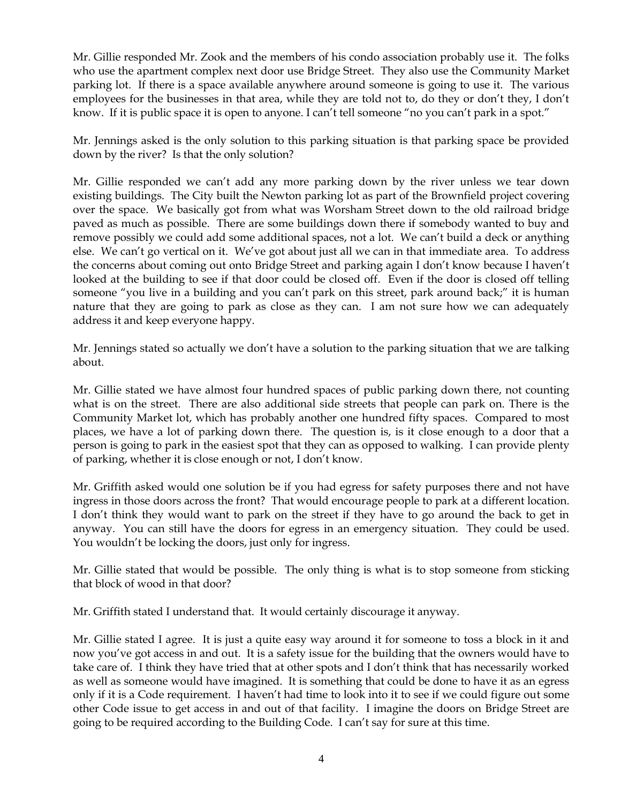Mr. Gillie responded Mr. Zook and the members of his condo association probably use it. The folks who use the apartment complex next door use Bridge Street. They also use the Community Market parking lot. If there is a space available anywhere around someone is going to use it. The various employees for the businesses in that area, while they are told not to, do they or don't they, I don't know. If it is public space it is open to anyone. I can't tell someone "no you can't park in a spot."

Mr. Jennings asked is the only solution to this parking situation is that parking space be provided down by the river? Is that the only solution?

Mr. Gillie responded we can't add any more parking down by the river unless we tear down existing buildings. The City built the Newton parking lot as part of the Brownfield project covering over the space. We basically got from what was Worsham Street down to the old railroad bridge paved as much as possible. There are some buildings down there if somebody wanted to buy and remove possibly we could add some additional spaces, not a lot. We can't build a deck or anything else. We can't go vertical on it. We've got about just all we can in that immediate area. To address the concerns about coming out onto Bridge Street and parking again I don't know because I haven't looked at the building to see if that door could be closed off. Even if the door is closed off telling someone "you live in a building and you can't park on this street, park around back;" it is human nature that they are going to park as close as they can. I am not sure how we can adequately address it and keep everyone happy.

Mr. Jennings stated so actually we don't have a solution to the parking situation that we are talking about.

Mr. Gillie stated we have almost four hundred spaces of public parking down there, not counting what is on the street. There are also additional side streets that people can park on. There is the Community Market lot, which has probably another one hundred fifty spaces. Compared to most places, we have a lot of parking down there. The question is, is it close enough to a door that a person is going to park in the easiest spot that they can as opposed to walking. I can provide plenty of parking, whether it is close enough or not, I don't know.

Mr. Griffith asked would one solution be if you had egress for safety purposes there and not have ingress in those doors across the front? That would encourage people to park at a different location. I don't think they would want to park on the street if they have to go around the back to get in anyway. You can still have the doors for egress in an emergency situation. They could be used. You wouldn't be locking the doors, just only for ingress.

Mr. Gillie stated that would be possible. The only thing is what is to stop someone from sticking that block of wood in that door?

Mr. Griffith stated I understand that. It would certainly discourage it anyway.

Mr. Gillie stated I agree. It is just a quite easy way around it for someone to toss a block in it and now you've got access in and out. It is a safety issue for the building that the owners would have to take care of. I think they have tried that at other spots and I don't think that has necessarily worked as well as someone would have imagined. It is something that could be done to have it as an egress only if it is a Code requirement. I haven't had time to look into it to see if we could figure out some other Code issue to get access in and out of that facility. I imagine the doors on Bridge Street are going to be required according to the Building Code. I can't say for sure at this time.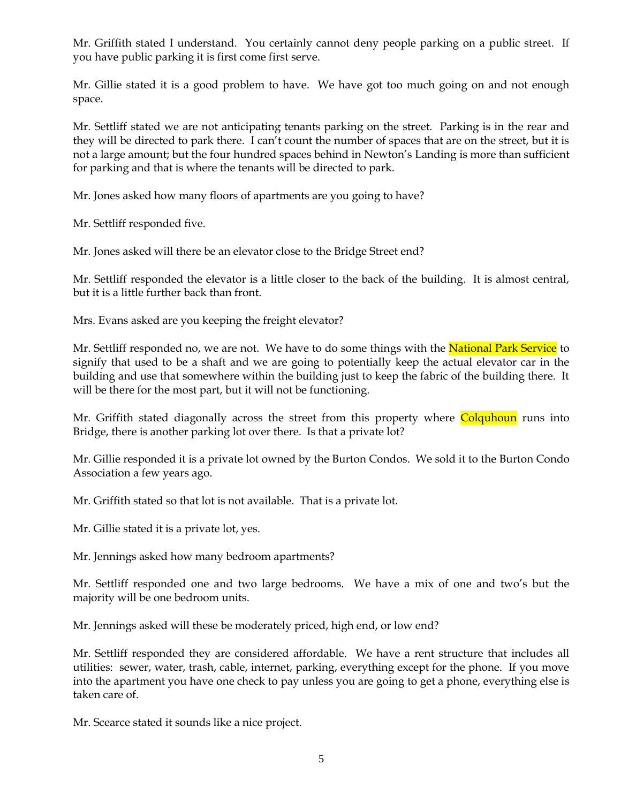Mr. Griffith stated I understand. You certainly cannot deny people parking on a public street. If you have public parking it is first come first serve.

Mr. Gillie stated it is a good problem to have. We have got too much going on and not enough space.

Mr. Settliff stated we are not anticipating tenants parking on the street. Parking is in the rear and they will be directed to park there. I can't count the number of spaces that are on the street, but it is not a large amount; but the four hundred spaces behind in Newton's Landing is more than sufficient for parking and that is where the tenants will be directed to park.

Mr. Jones asked how many floors of apartments are you going to have?

Mr. Settliff responded five.

Mr. Jones asked will there be an elevator close to the Bridge Street end?

Mr. Settliff responded the elevator is a little closer to the back of the building. It is almost central, but it is a little further back than front.

Mrs. Evans asked are you keeping the freight elevator?

Mr. Settliff responded no, we are not. We have to do some things with the **National Park Service** to signify that used to be a shaft and we are going to potentially keep the actual elevator car in the building and use that somewhere within the building just to keep the fabric of the building there. It will be there for the most part, but it will not be functioning.

Mr. Griffith stated diagonally across the street from this property where Colquhoun runs into Bridge, there is another parking lot over there. Is that a private lot?

Mr. Gillie responded it is a private lot owned by the Burton Condos. We sold it to the Burton Condo Association a few years ago.

Mr. Griffith stated so that lot is not available. That is a private lot.

Mr. Gillie stated it is a private lot, yes.

Mr. Jennings asked how many bedroom apartments?

Mr. Settliff responded one and two large bedrooms. We have a mix of one and two's but the majority will be one bedroom units.

Mr. Jennings asked will these be moderately priced, high end, or low end?

Mr. Settliff responded they are considered affordable. We have a rent structure that includes all utilities: sewer, water, trash, cable, internet, parking, everything except for the phone. If you move into the apartment you have one check to pay unless you are going to get a phone, everything else is taken care of.

Mr. Scearce stated it sounds like a nice project.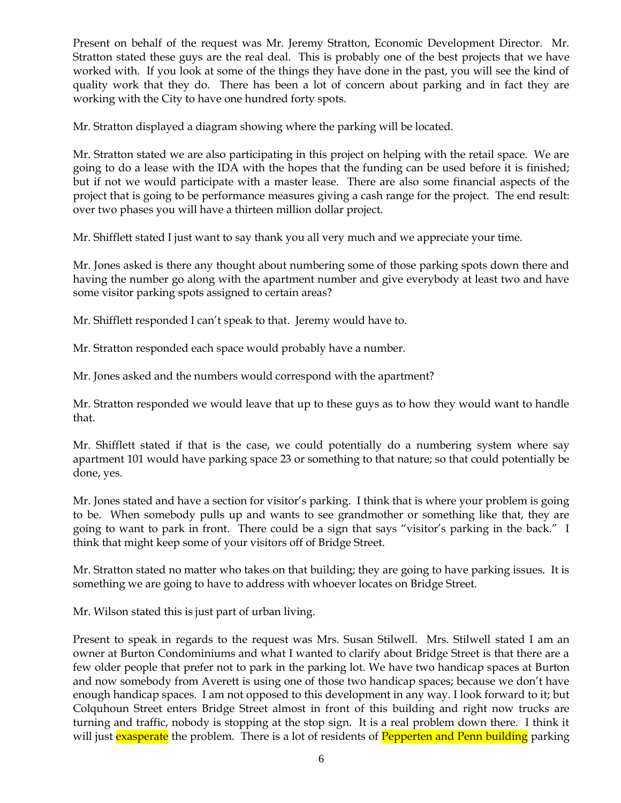Present on behalf of the request was Mr. Jeremy Stratton, Economic Development Director. Mr. Stratton stated these guys are the real deal. This is probably one of the best projects that we have worked with. If you look at some of the things they have done in the past, you will see the kind of quality work that they do. There has been a lot of concern about parking and in fact they are working with the City to have one hundred forty spots.

Mr. Stratton displayed a diagram showing where the parking will be located.

Mr. Stratton stated we are also participating in this project on helping with the retail space. We are going to do a lease with the IDA with the hopes that the funding can be used before it is finished; but if not we would participate with a master lease. There are also some financial aspects of the project that is going to be performance measures giving a cash range for the project. The end result: over two phases you will have a thirteen million dollar project.

Mr. Shifflett stated I just want to say thank you all very much and we appreciate your time.

Mr. Jones asked is there any thought about numbering some of those parking spots down there and having the number go along with the apartment number and give everybody at least two and have some visitor parking spots assigned to certain areas?

Mr. Shifflett responded I can't speak to that. Jeremy would have to.

Mr. Stratton responded each space would probably have a number.

Mr. Jones asked and the numbers would correspond with the apartment?

Mr. Stratton responded we would leave that up to these guys as to how they would want to handle that.

Mr. Shifflett stated if that is the case, we could potentially do a numbering system where say apartment 101 would have parking space 23 or something to that nature; so that could potentially be done, yes.

Mr. Jones stated and have a section for visitor's parking. I think that is where your problem is going to be. When somebody pulls up and wants to see grandmother or something like that, they are going to want to park in front. There could be a sign that says "visitor's parking in the back." I think that might keep some of your visitors off of Bridge Street.

Mr. Stratton stated no matter who takes on that building; they are going to have parking issues. It is something we are going to have to address with whoever locates on Bridge Street.

Mr. Wilson stated this is just part of urban living.

Present to speak in regards to the request was Mrs. Susan Stilwell. Mrs. Stilwell stated I am an owner at Burton Condominiums and what I wanted to clarify about Bridge Street is that there are a few older people that prefer not to park in the parking lot. We have two handicap spaces at Burton and now somebody from Averett is using one of those two handicap spaces; because we don't have enough handicap spaces. I am not opposed to this development in any way. I look forward to it; but Colquhoun Street enters Bridge Street almost in front of this building and right now trucks are turning and traffic, nobody is stopping at the stop sign. It is a real problem down there. I think it will just exasperate the problem. There is a lot of residents of Pepperten and Penn building parking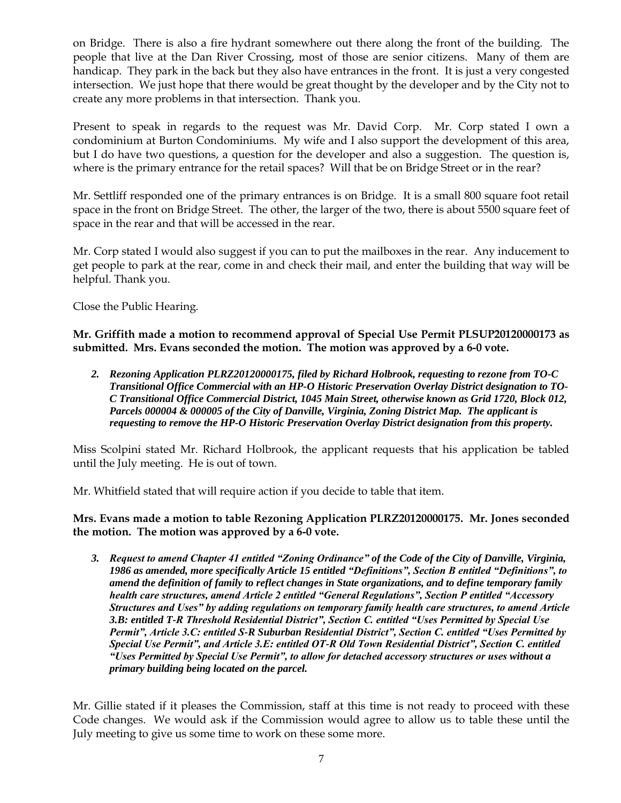on Bridge. There is also a fire hydrant somewhere out there along the front of the building. The people that live at the Dan River Crossing, most of those are senior citizens. Many of them are handicap. They park in the back but they also have entrances in the front. It is just a very congested intersection. We just hope that there would be great thought by the developer and by the City not to create any more problems in that intersection. Thank you.

Present to speak in regards to the request was Mr. David Corp. Mr. Corp stated I own a condominium at Burton Condominiums. My wife and I also support the development of this area, but I do have two questions, a question for the developer and also a suggestion. The question is, where is the primary entrance for the retail spaces? Will that be on Bridge Street or in the rear?

Mr. Settliff responded one of the primary entrances is on Bridge. It is a small 800 square foot retail space in the front on Bridge Street. The other, the larger of the two, there is about 5500 square feet of space in the rear and that will be accessed in the rear.

Mr. Corp stated I would also suggest if you can to put the mailboxes in the rear. Any inducement to get people to park at the rear, come in and check their mail, and enter the building that way will be helpful. Thank you.

Close the Public Hearing.

**Mr. Griffith made a motion to recommend approval of Special Use Permit PLSUP20120000173 as submitted. Mrs. Evans seconded the motion. The motion was approved by a 6-0 vote.**

*2. Rezoning Application PLRZ20120000175, filed by Richard Holbrook, requesting to rezone from TO-C Transitional Office Commercial with an HP-O Historic Preservation Overlay District designation to TO-C Transitional Office Commercial District, 1045 Main Street, otherwise known as Grid 1720, Block 012, Parcels 000004 & 000005 of the City of Danville, Virginia, Zoning District Map. The applicant is requesting to remove the HP-O Historic Preservation Overlay District designation from this property.* 

Miss Scolpini stated Mr. Richard Holbrook, the applicant requests that his application be tabled until the July meeting. He is out of town.

Mr. Whitfield stated that will require action if you decide to table that item.

**Mrs. Evans made a motion to table Rezoning Application PLRZ20120000175. Mr. Jones seconded the motion. The motion was approved by a 6-0 vote.**

*3. Request to amend Chapter 41 entitled "Zoning Ordinance" of the Code of the City of Danville, Virginia, 1986 as amended, more specifically Article 15 entitled "Definitions", Section B entitled "Definitions", to amend the definition of family to reflect changes in State organizations, and to define temporary family health care structures, amend Article 2 entitled "General Regulations", Section P entitled "Accessory Structures and Uses" by adding regulations on temporary family health care structures, to amend Article 3.B: entitled T-R Threshold Residential District", Section C. entitled "Uses Permitted by Special Use Permit", Article 3.C: entitled S-R Suburban Residential District", Section C. entitled "Uses Permitted by Special Use Permit", and Article 3.E: entitled OT-R Old Town Residential District", Section C. entitled "Uses Permitted by Special Use Permit", to allow for detached accessory structures or uses without a primary building being located on the parcel.*

Mr. Gillie stated if it pleases the Commission, staff at this time is not ready to proceed with these Code changes. We would ask if the Commission would agree to allow us to table these until the July meeting to give us some time to work on these some more.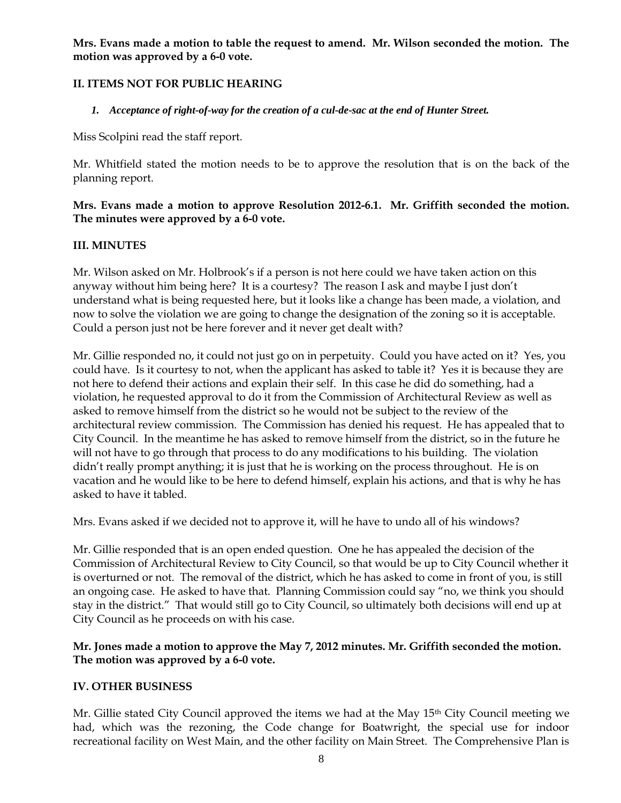**Mrs. Evans made a motion to table the request to amend. Mr. Wilson seconded the motion. The motion was approved by a 6-0 vote.**

# **II. ITEMS NOT FOR PUBLIC HEARING**

### *1. Acceptance of right-of-way for the creation of a cul-de-sac at the end of Hunter Street.*

Miss Scolpini read the staff report.

Mr. Whitfield stated the motion needs to be to approve the resolution that is on the back of the planning report.

## **Mrs. Evans made a motion to approve Resolution 2012-6.1. Mr. Griffith seconded the motion. The minutes were approved by a 6-0 vote.**

## **III. MINUTES**

Mr. Wilson asked on Mr. Holbrook's if a person is not here could we have taken action on this anyway without him being here? It is a courtesy? The reason I ask and maybe I just don't understand what is being requested here, but it looks like a change has been made, a violation, and now to solve the violation we are going to change the designation of the zoning so it is acceptable. Could a person just not be here forever and it never get dealt with?

Mr. Gillie responded no, it could not just go on in perpetuity. Could you have acted on it? Yes, you could have. Is it courtesy to not, when the applicant has asked to table it? Yes it is because they are not here to defend their actions and explain their self. In this case he did do something, had a violation, he requested approval to do it from the Commission of Architectural Review as well as asked to remove himself from the district so he would not be subject to the review of the architectural review commission. The Commission has denied his request. He has appealed that to City Council. In the meantime he has asked to remove himself from the district, so in the future he will not have to go through that process to do any modifications to his building. The violation didn't really prompt anything; it is just that he is working on the process throughout. He is on vacation and he would like to be here to defend himself, explain his actions, and that is why he has asked to have it tabled.

Mrs. Evans asked if we decided not to approve it, will he have to undo all of his windows?

Mr. Gillie responded that is an open ended question. One he has appealed the decision of the Commission of Architectural Review to City Council, so that would be up to City Council whether it is overturned or not. The removal of the district, which he has asked to come in front of you, is still an ongoing case. He asked to have that. Planning Commission could say "no, we think you should stay in the district." That would still go to City Council, so ultimately both decisions will end up at City Council as he proceeds on with his case.

### **Mr. Jones made a motion to approve the May 7, 2012 minutes. Mr. Griffith seconded the motion. The motion was approved by a 6-0 vote.**

### **IV. OTHER BUSINESS**

Mr. Gillie stated City Council approved the items we had at the May 15<sup>th</sup> City Council meeting we had, which was the rezoning, the Code change for Boatwright, the special use for indoor recreational facility on West Main, and the other facility on Main Street. The Comprehensive Plan is